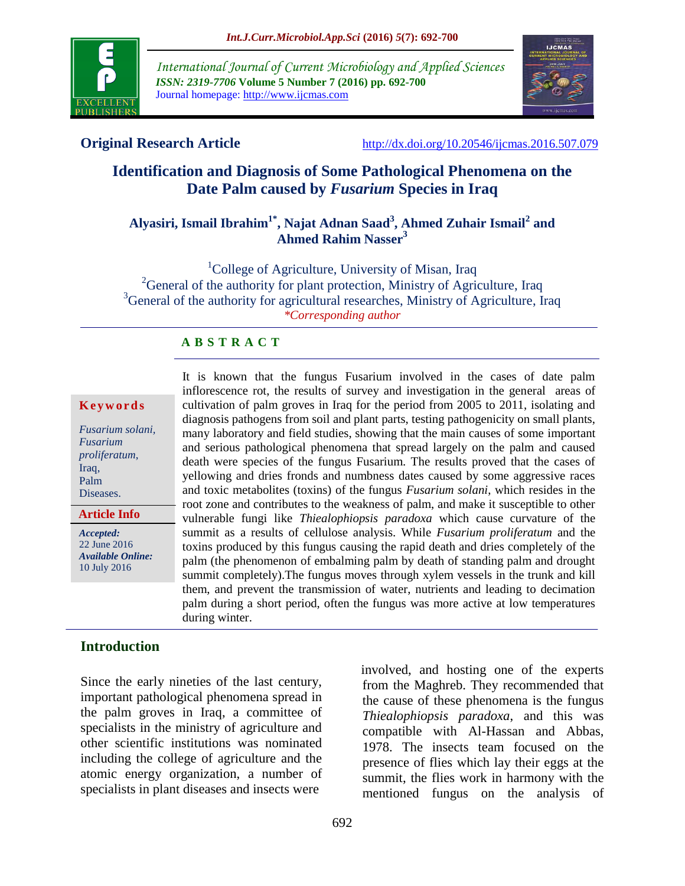

*International Journal of Current Microbiology and Applied Sciences ISSN: 2319-7706* **Volume 5 Number 7 (2016) pp. 692-700** Journal homepage: http://www.ijcmas.com



**Original Research Article** <http://dx.doi.org/10.20546/ijcmas.2016.507.079>

# **Identification and Diagnosis of Some Pathological Phenomena on the Date Palm caused by** *Fusarium* **Species in Iraq**

# **Alyasiri, Ismail Ibrahim1\* , Najat Adnan Saad<sup>3</sup> , Ahmed Zuhair Ismail<sup>2</sup> and Ahmed Rahim Nasser<sup>3</sup>**

<sup>1</sup>College of Agriculture, University of Misan, Iraq <sup>2</sup>General of the authority for plant protection, Ministry of Agriculture, Iraq <sup>3</sup>General of the authority for agricultural researches, Ministry of Agriculture, Iraq *\*Corresponding author*

### **A B S T R A C T**

#### **K e y w o r d s**

*Fusarium solani, Fusarium proliferatum*, Iraq, Palm Diseases.

**Article Info**

*Accepted:*  22 June 2016 *Available Online:* 10 July 2016

It is known that the fungus Fusarium involved in the cases of date palm inflorescence rot, the results of survey and investigation in the general areas of cultivation of palm groves in Iraq for the period from 2005 to 2011, isolating and diagnosis pathogens from soil and plant parts, testing pathogenicity on small plants, many laboratory and field studies, showing that the main causes of some important and serious pathological phenomena that spread largely on the palm and caused death were species of the fungus Fusarium. The results proved that the cases of yellowing and dries fronds and numbness dates caused by some aggressive races and toxic metabolites (toxins) of the fungus *Fusarium solani*, which resides in the root zone and contributes to the weakness of palm, and make it susceptible to other vulnerable fungi like *Thiealophiopsis paradoxa* which cause curvature of the summit as a results of cellulose analysis. While *Fusarium proliferatum* and the toxins produced by this fungus causing the rapid death and dries completely of the palm (the phenomenon of embalming palm by death of standing palm and drought summit completely).The fungus moves through xylem vessels in the trunk and kill them, and prevent the transmission of water, nutrients and leading to decimation palm during a short period, often the fungus was more active at low temperatures during winter.

### **Introduction**

Since the early nineties of the last century, important pathological phenomena spread in the palm groves in Iraq, a committee of specialists in the ministry of agriculture and other scientific institutions was nominated including the college of agriculture and the atomic energy organization, a number of specialists in plant diseases and insects were

 involved, and hosting one of the experts from the Maghreb. They recommended that the cause of these phenomena is the fungus *Thiealophiopsis paradoxa*, and this was compatible with Al-Hassan and Abbas, 1978. The insects team focused on the presence of flies which lay their eggs at the summit, the flies work in harmony with the mentioned fungus on the analysis of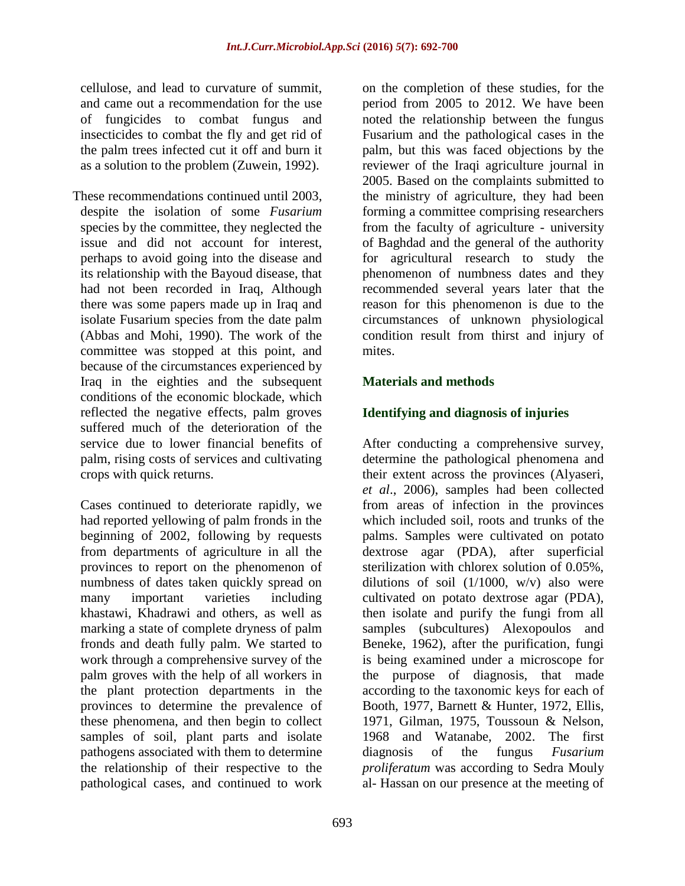cellulose, and lead to curvature of summit, and came out a recommendation for the use of fungicides to combat fungus and insecticides to combat the fly and get rid of the palm trees infected cut it off and burn it as a solution to the problem (Zuwein, 1992).

These recommendations continued until 2003, despite the isolation of some *Fusarium* species by the committee, they neglected the issue and did not account for interest, perhaps to avoid going into the disease and its relationship with the Bayoud disease, that had not been recorded in Iraq, Although there was some papers made up in Iraq and isolate Fusarium species from the date palm (Abbas and Mohi, 1990). The work of the committee was stopped at this point, and because of the circumstances experienced by Iraq in the eighties and the subsequent conditions of the economic blockade, which reflected the negative effects, palm groves suffered much of the deterioration of the service due to lower financial benefits of palm, rising costs of services and cultivating crops with quick returns.

Cases continued to deteriorate rapidly, we had reported yellowing of palm fronds in the beginning of 2002, following by requests from departments of agriculture in all the provinces to report on the phenomenon of numbness of dates taken quickly spread on many important varieties including khastawi, Khadrawi and others, as well as marking a state of complete dryness of palm fronds and death fully palm. We started to work through a comprehensive survey of the palm groves with the help of all workers in the plant protection departments in the provinces to determine the prevalence of these phenomena, and then begin to collect samples of soil, plant parts and isolate pathogens associated with them to determine the relationship of their respective to the pathological cases, and continued to work

on the completion of these studies, for the period from 2005 to 2012. We have been noted the relationship between the fungus Fusarium and the pathological cases in the palm, but this was faced objections by the reviewer of the Iraqi agriculture journal in 2005. Based on the complaints submitted to the ministry of agriculture, they had been forming a committee comprising researchers from the faculty of agriculture - university of Baghdad and the general of the authority for agricultural research to study the phenomenon of numbness dates and they recommended several years later that the reason for this phenomenon is due to the circumstances of unknown physiological condition result from thirst and injury of mites.

## **Materials and methods**

## **Identifying and diagnosis of injuries**

After conducting a comprehensive survey, determine the pathological phenomena and their extent across the provinces (Alyaseri, *et al*., 2006), samples had been collected from areas of infection in the provinces which included soil, roots and trunks of the palms. Samples were cultivated on potato dextrose agar (PDA), after superficial sterilization with chlorex solution of 0.05%, dilutions of soil  $(1/1000, w/v)$  also were cultivated on potato dextrose agar (PDA), then isolate and purify the fungi from all samples (subcultures) Alexopoulos and Beneke, 1962), after the purification, fungi is being examined under a microscope for the purpose of diagnosis, that made according to the taxonomic keys for each of Booth, 1977, Barnett & Hunter, 1972, Ellis, 1971, Gilman, 1975, Toussoun & Nelson, 1968 and Watanabe, 2002. The first diagnosis of the fungus *Fusarium proliferatum* was according to Sedra Mouly al- Hassan on our presence at the meeting of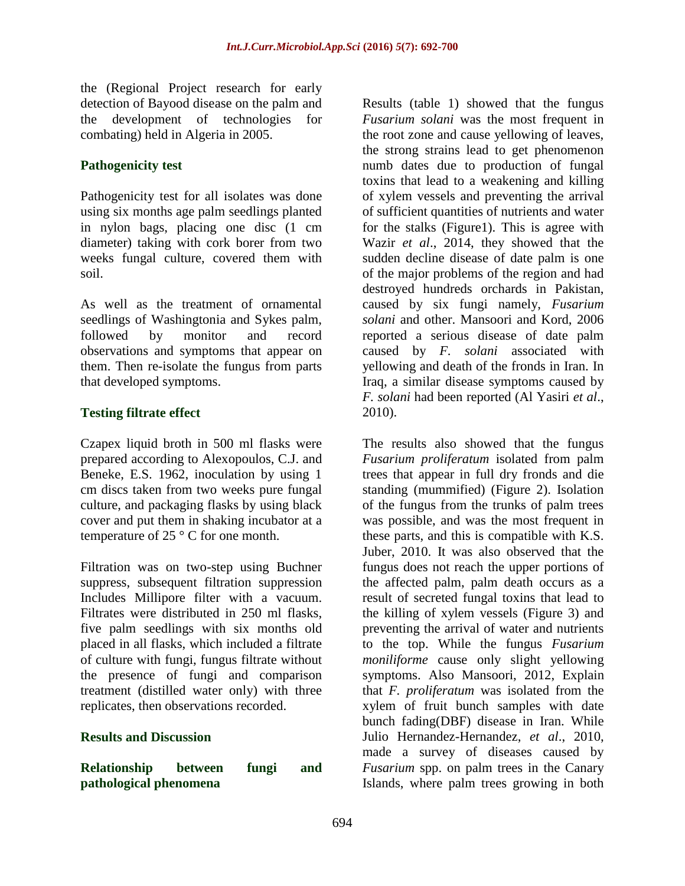the (Regional Project research for early detection of Bayood disease on the palm and the development of technologies for combating) held in Algeria in 2005.

## **Pathogenicity test**

Pathogenicity test for all isolates was done using six months age palm seedlings planted in nylon bags, placing one disc (1 cm diameter) taking with cork borer from two weeks fungal culture, covered them with soil.

As well as the treatment of ornamental seedlings of Washingtonia and Sykes palm, followed by monitor and record observations and symptoms that appear on them. Then re-isolate the fungus from parts that developed symptoms.

# **Testing filtrate effect**

Czapex liquid broth in 500 ml flasks were prepared according to Alexopoulos, C.J. and Beneke, E.S. 1962, inoculation by using 1 cm discs taken from two weeks pure fungal culture, and packaging flasks by using black cover and put them in shaking incubator at a temperature of 25 ° C for one month.

Filtration was on two-step using Buchner suppress, subsequent filtration suppression Includes Millipore filter with a vacuum. Filtrates were distributed in 250 ml flasks, five palm seedlings with six months old placed in all flasks, which included a filtrate of culture with fungi, fungus filtrate without the presence of fungi and comparison treatment (distilled water only) with three replicates, then observations recorded.

### **Results and Discussion**

**Relationship between fungi and pathological phenomena** 

Results (table 1) showed that the fungus *Fusarium solani* was the most frequent in the root zone and cause yellowing of leaves, the strong strains lead to get phenomenon numb dates due to production of fungal toxins that lead to a weakening and killing of xylem vessels and preventing the arrival of sufficient quantities of nutrients and water for the stalks (Figure1). This is agree with Wazir *et al*., 2014, they showed that the sudden decline disease of date palm is one of the major problems of the region and had destroyed hundreds orchards in Pakistan, caused by six fungi namely, *Fusarium solani* and other. Mansoori and Kord, 2006 reported a serious disease of date palm caused by *F. solani* associated with yellowing and death of the fronds in Iran. In Iraq, a similar disease symptoms caused by *F. solani* had been reported (Al Yasiri *et al*., 2010).

The results also showed that the fungus *Fusarium proliferatum* isolated from palm trees that appear in full dry fronds and die standing (mummified) (Figure 2). Isolation of the fungus from the trunks of palm trees was possible, and was the most frequent in these parts, and this is compatible with K.S. Juber, 2010. It was also observed that the fungus does not reach the upper portions of the affected palm, palm death occurs as a result of secreted fungal toxins that lead to the killing of xylem vessels (Figure 3) and preventing the arrival of water and nutrients to the top. While the fungus *Fusarium moniliforme* cause only slight yellowing symptoms. Also Mansoori, 2012, Explain that *F. proliferatum* was isolated from the xylem of fruit bunch samples with date bunch fading(DBF) disease in Iran. While Julio Hernandez-Hernandez, *et al*., 2010, made a survey of diseases caused by *Fusarium* spp. on palm trees in the Canary Islands, where palm trees growing in both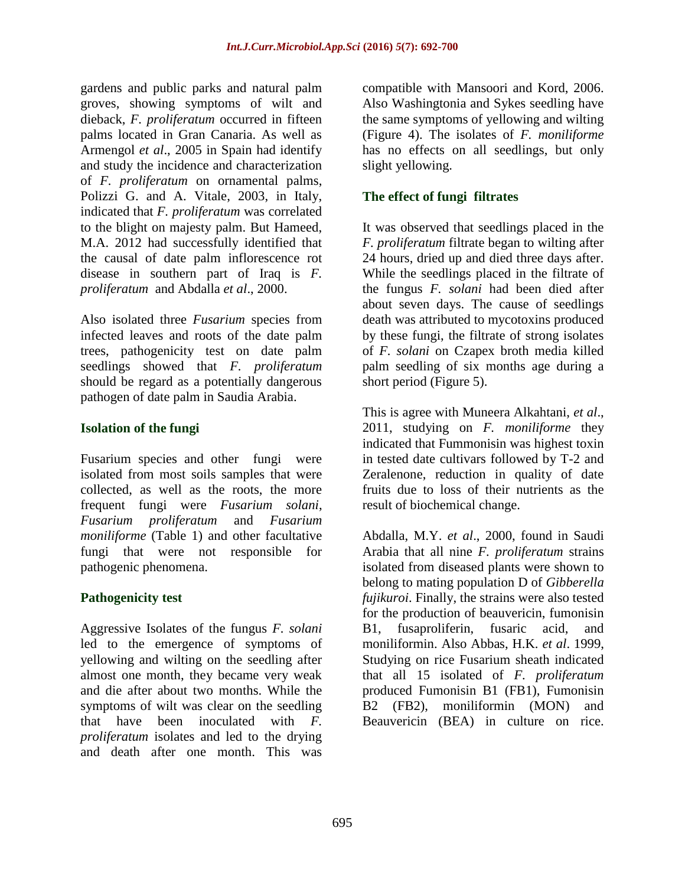gardens and public parks and natural palm groves, showing symptoms of wilt and dieback, *F. proliferatum* occurred in fifteen palms located in Gran Canaria. As well as Armengol *et al*., 2005 in Spain had identify and study the incidence and characterization of *F. proliferatum* on ornamental palms, Polizzi G. and A. Vitale, 2003, in Italy, indicated that *F. proliferatum* was correlated to the blight on majesty palm. But Hameed, M.A. 2012 had successfully identified that the causal of date palm inflorescence rot disease in southern part of Iraq is *F. proliferatum* and Abdalla *et al*., 2000.

Also isolated three *Fusarium* species from infected leaves and roots of the date palm trees, pathogenicity test on date palm seedlings showed that *F. proliferatum* should be regard as a potentially dangerous pathogen of date palm in Saudia Arabia.

# **Isolation of the fungi**

Fusarium species and other fungi were isolated from most soils samples that were collected, as well as the roots, the more frequent fungi were *Fusarium solani*, *Fusarium proliferatum* and *Fusarium moniliforme* (Table 1) and other facultative fungi that were not responsible for pathogenic phenomena.

# **Pathogenicity test**

Aggressive Isolates of the fungus *F. solani*  led to the emergence of symptoms of yellowing and wilting on the seedling after almost one month, they became very weak and die after about two months. While the symptoms of wilt was clear on the seedling that have been inoculated with *F. proliferatum* isolates and led to the drying and death after one month. This was

compatible with Mansoori and Kord, 2006. Also Washingtonia and Sykes seedling have the same symptoms of yellowing and wilting (Figure 4). The isolates of *F. moniliforme* has no effects on all seedlings, but only slight yellowing.

# **The effect of fungi filtrates**

It was observed that seedlings placed in the *F. proliferatum* filtrate began to wilting after 24 hours, dried up and died three days after. While the seedlings placed in the filtrate of the fungus *F. solani* had been died after about seven days. The cause of seedlings death was attributed to mycotoxins produced by these fungi, the filtrate of strong isolates of *F. solani* on Czapex broth media killed palm seedling of six months age during a short period (Figure 5).

This is agree with Muneera Alkahtani, *et al*., 2011, studying on *F. moniliforme* they indicated that Fummonisin was highest toxin in tested date cultivars followed by T-2 and Zeralenone, reduction in quality of date fruits due to loss of their nutrients as the result of biochemical change.

Abdalla, M.Y. *et al*., 2000, found in Saudi Arabia that all nine *F. proliferatum* strains isolated from diseased plants were shown to belong to mating population D of *Gibberella fujikuroi*. Finally, the strains were also tested for the production of beauvericin, fumonisin B1, fusaproliferin, fusaric acid, and moniliformin. Also Abbas, H.K. *et al*. 1999, Studying on rice Fusarium sheath indicated that all 15 isolated of *F. proliferatum* produced Fumonisin B1 (FB1), Fumonisin B2 (FB2), moniliformin (MON) and Beauvericin (BEA) in culture on rice.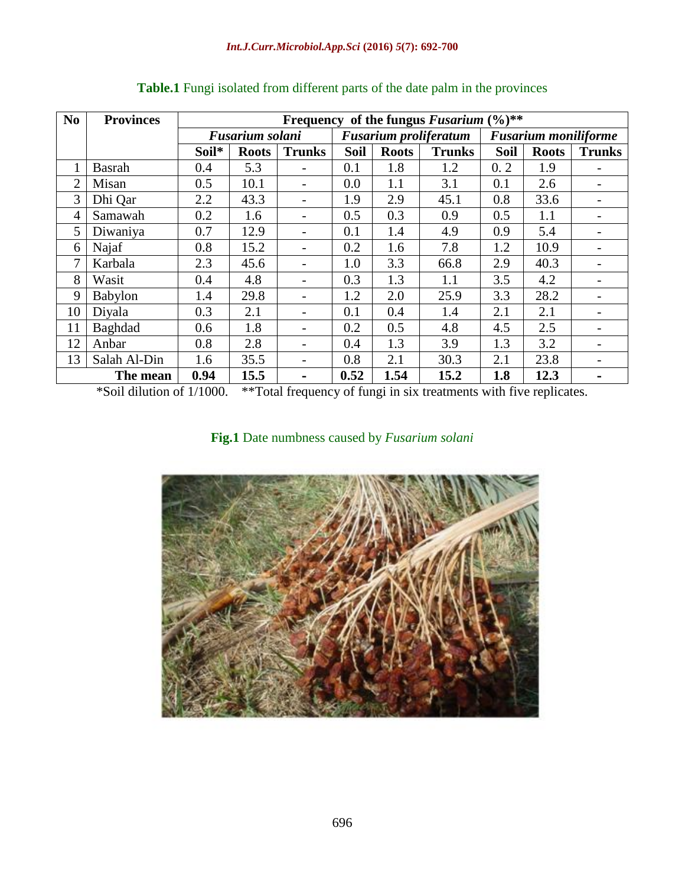| N <sub>0</sub> | <b>Provinces</b> | $(\frac{0}{0})$ **<br>Frequency of the fungus Fusarium |              |                              |                              |              |               |                             |              |               |
|----------------|------------------|--------------------------------------------------------|--------------|------------------------------|------------------------------|--------------|---------------|-----------------------------|--------------|---------------|
|                |                  | Fusarium solani                                        |              |                              | <b>Fusarium proliferatum</b> |              |               | <b>Fusarium moniliforme</b> |              |               |
|                |                  | Soil*                                                  | <b>Roots</b> | <b>Trunks</b>                | <b>Soil</b>                  | <b>Roots</b> | <b>Trunks</b> | <b>Soil</b>                 | <b>Roots</b> | <b>Trunks</b> |
|                | <b>Basrah</b>    | 0.4                                                    | 5.3          | -                            | 0.1                          | 1.8          | 1.2           | 0.2                         | 1.9          |               |
| 2              | Misan            | 0.5                                                    | 10.1         | $\overline{\phantom{a}}$     | 0.0                          | 1.1          | 3.1           | 0.1                         | 2.6          |               |
| 3              | Dhi Qar          | 2.2                                                    | 43.3         | $\overline{\phantom{a}}$     | 1.9                          | 2.9          | 45.1          | 0.8                         | 33.6         |               |
| 4              | Samawah          | 0.2                                                    | 1.6          | -                            | 0.5                          | 0.3          | 0.9           | 0.5                         | 1.1          |               |
| 5              | Diwaniya         | 0.7                                                    | 12.9         | $\overline{\phantom{a}}$     | 0.1                          | 1.4          | 4.9           | 0.9                         | 5.4          |               |
| 6              | Najaf            | 0.8                                                    | 15.2         | -                            | 0.2                          | 1.6          | 7.8           | 1.2                         | 10.9         |               |
| 7              | Karbala          | 2.3                                                    | 45.6         | $\overline{\phantom{a}}$     | 1.0                          | 3.3          | 66.8          | 2.9                         | 40.3         |               |
| 8              | Wasit            | 0.4                                                    | 4.8          | ۰                            | 0.3                          | 1.3          | 1.1           | 3.5                         | 4.2          |               |
| 9              | Babylon          | 1.4                                                    | 29.8         | $\qquad \qquad \blacksquare$ | 1.2                          | 2.0          | 25.9          | 3.3                         | 28.2         |               |
| 10             | Diyala           | 0.3                                                    | 2.1          | -                            | 0.1                          | 0.4          | 1.4           | 2.1                         | 2.1          |               |
| 11             | Baghdad          | 0.6                                                    | 1.8          | $\overline{\phantom{a}}$     | 0.2                          | 0.5          | 4.8           | 4.5                         | 2.5          |               |
| 12             | Anbar            | 0.8                                                    | 2.8          | $\overline{\phantom{a}}$     | 0.4                          | 1.3          | 3.9           | 1.3                         | 3.2          |               |
| 13             | Salah Al-Din     | 1.6                                                    | 35.5         | $\overline{\phantom{a}}$     | 0.8                          | 2.1          | 30.3          | 2.1                         | 23.8         |               |
|                | The mean         | 0.94                                                   | 15.5         | $\overline{\phantom{a}}$     | 0.52                         | 1.54         | 15.2          | 1.8                         | 12.3         |               |

# **Table.1** Fungi isolated from different parts of the date palm in the provinces

\*Soil dilution of 1/1000. \*\*Total frequency of fungi in six treatments with five replicates.

**Fig.1** Date numbness caused by *Fusarium solani*

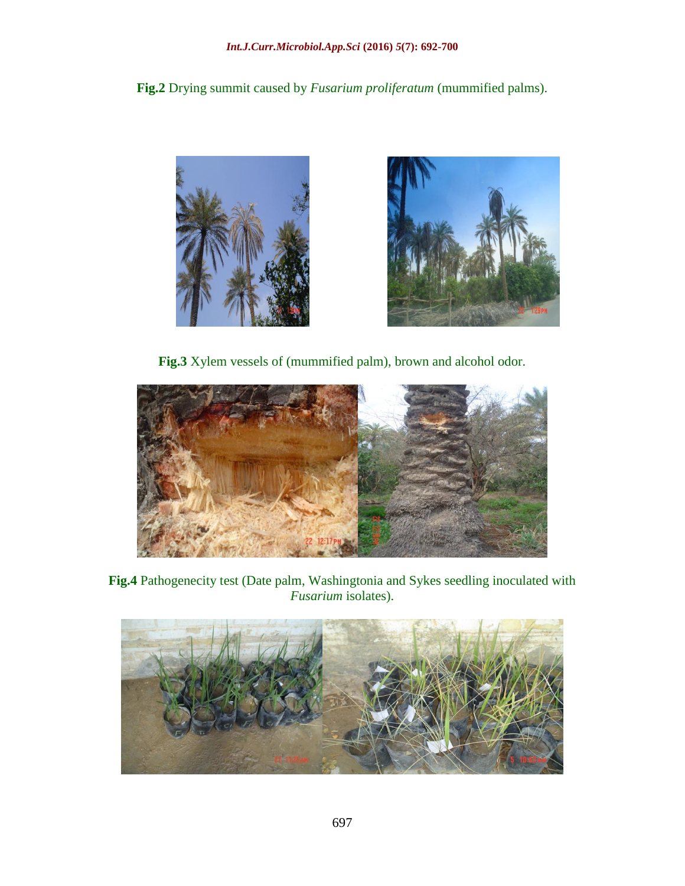**Fig.2** Drying summit caused by *Fusarium proliferatum* (mummified palms).





**Fig.3** Xylem vessels of (mummified palm), brown and alcohol odor.



**Fig.4** Pathogenecity test (Date palm, Washingtonia and Sykes seedling inoculated with *Fusarium* isolates).

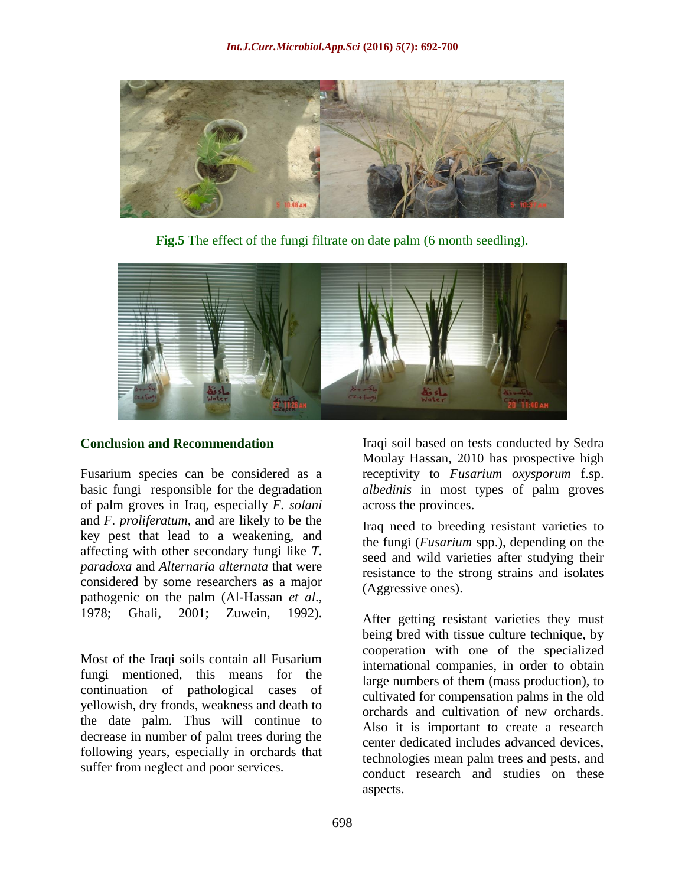

Fig.5 The effect of the fungi filtrate on date palm (6 month seedling).



#### **Conclusion and Recommendation**

Fusarium species can be considered as a basic fungi responsible for the degradation of palm groves in Iraq, especially *F. solani* and *F. proliferatum*, and are likely to be the key pest that lead to a weakening, and affecting with other secondary fungi like *T. paradoxa* and *Alternaria alternata* that were considered by some researchers as a major pathogenic on the palm (Al-Hassan *et al*., 1978; Ghali, 2001; Zuwein, 1992).

Most of the Iraqi soils contain all Fusarium fungi mentioned, this means for the continuation of pathological cases of yellowish, dry fronds, weakness and death to the date palm. Thus will continue to decrease in number of palm trees during the following years, especially in orchards that suffer from neglect and poor services.

Iraqi soil based on tests conducted by Sedra Moulay Hassan, 2010 has prospective high receptivity to *Fusarium oxysporum* f.sp. *albedinis* in most types of palm groves across the provinces.

Iraq need to breeding resistant varieties to the fungi (*Fusarium* spp.), depending on the seed and wild varieties after studying their resistance to the strong strains and isolates (Aggressive ones).

After getting resistant varieties they must being bred with tissue culture technique, by cooperation with one of the specialized international companies, in order to obtain large numbers of them (mass production), to cultivated for compensation palms in the old orchards and cultivation of new orchards. Also it is important to create a research center dedicated includes advanced devices, technologies mean palm trees and pests, and conduct research and studies on these aspects.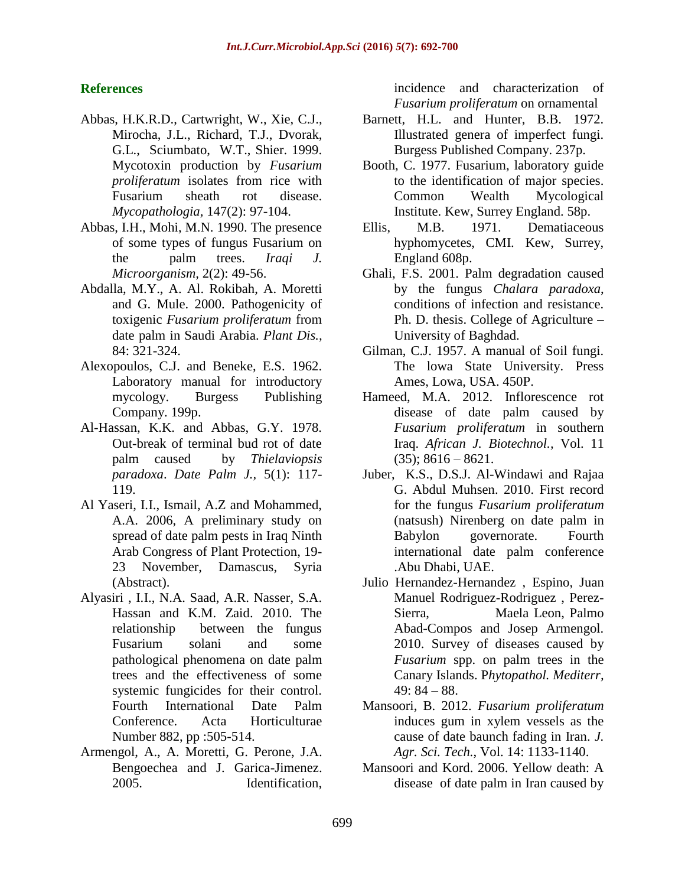#### **References**

- Abbas, H.K.R.D., Cartwright, W., Xie, C.J., Mirocha, J.L., Richard, T.J., Dvorak, G.L., Sciumbato, W.T., Shier. 1999. Mycotoxin production by *Fusarium proliferatum* isolates from rice with Fusarium sheath rot disease. *Mycopathologia,* 147(2): 97-104.
- Abbas, I.H., Mohi, M.N. 1990. The presence of some types of fungus Fusarium on the palm trees. *Iraqi J. Microorganism,* 2(2): 49-56.
- Abdalla, M.Y., A. Al. Rokibah, A. Moretti and G. Mule. 2000. Pathogenicity of toxigenic *Fusarium proliferatum* from date palm in Saudi Arabia. *Plant Dis.,* 84: 321-324.
- Alexopoulos, C.J. and Beneke, E.S. 1962. Laboratory manual for introductory mycology. Burgess Publishing Company. 199p.
- Al-Hassan, K.K. and Abbas, G.Y. 1978. Out-break of terminal bud rot of date palm caused by *Thielaviopsis paradoxa*. *Date Palm J.,* 5(1): 117- 119.
- Al Yaseri, I.I., Ismail, A.Z and Mohammed, A.A. 2006, A preliminary study on spread of date palm pests in Iraq Ninth Arab Congress of Plant Protection, 19- 23 November, Damascus, Syria (Abstract).
- Alyasiri , I.I., N.A. Saad, A.R. Nasser, S.A. Hassan and K.M. Zaid. 2010. The relationship between the fungus Fusarium solani and some pathological phenomena on date palm trees and the effectiveness of some systemic fungicides for their control. Fourth International Date Palm Conference. Acta Horticulturae Number 882, pp :505-514.
- Armengol, A., A. Moretti, G. Perone, J.A. Bengoechea and J. Garica-Jimenez. 2005. Identification,

incidence and characterization of *Fusarium proliferatum* on ornamental

- Barnett, H.L. and Hunter, B.B. 1972. Illustrated genera of imperfect fungi. Burgess Published Company. 237p.
- Booth, C. 1977. Fusarium, laboratory guide to the identification of major species. Common Wealth Mycological Institute. Kew, Surrey England. 58p.
- Ellis, M.B. 1971. Dematiaceous hyphomycetes, CMI. Kew, Surrey, England 608p.
- Ghali, F.S. 2001. Palm degradation caused by the fungus *Chalara paradoxa*, conditions of infection and resistance. Ph. D. thesis. College of Agriculture – University of Baghdad.
- Gilman, C.J. 1957. A manual of Soil fungi. The lowa State University. Press Ames, Lowa, USA. 450P.
- Hameed, M.A. 2012. Inflorescence rot disease of date palm caused by *Fusarium proliferatum* in southern Iraq. *African J. Biotechnol.,* Vol. 11  $(35); 8616 - 8621.$
- Juber, K.S., D.S.J. Al-Windawi and Rajaa G. Abdul Muhsen. 2010. First record for the fungus *Fusarium proliferatum* (natsush) Nirenberg on date palm in Babylon governorate. Fourth international date palm conference .Abu Dhabi, UAE.
- Julio Hernandez-Hernandez , Espino, Juan Manuel Rodriguez-Rodriguez , Perez-Sierra, Maela Leon, Palmo Abad-Compos and Josep Armengol. 2010. Survey of diseases caused by *Fusarium* spp. on palm trees in the Canary Islands. P*hytopathol. Mediterr,*   $49: 84 - 88.$
- Mansoori, B. 2012. *Fusarium proliferatum* induces gum in xylem vessels as the cause of date baunch fading in Iran. *J. Agr. Sci. Tech.*, Vol. 14: 1133-1140.
- Mansoori and Kord. 2006. Yellow death: A disease of date palm in Iran caused by